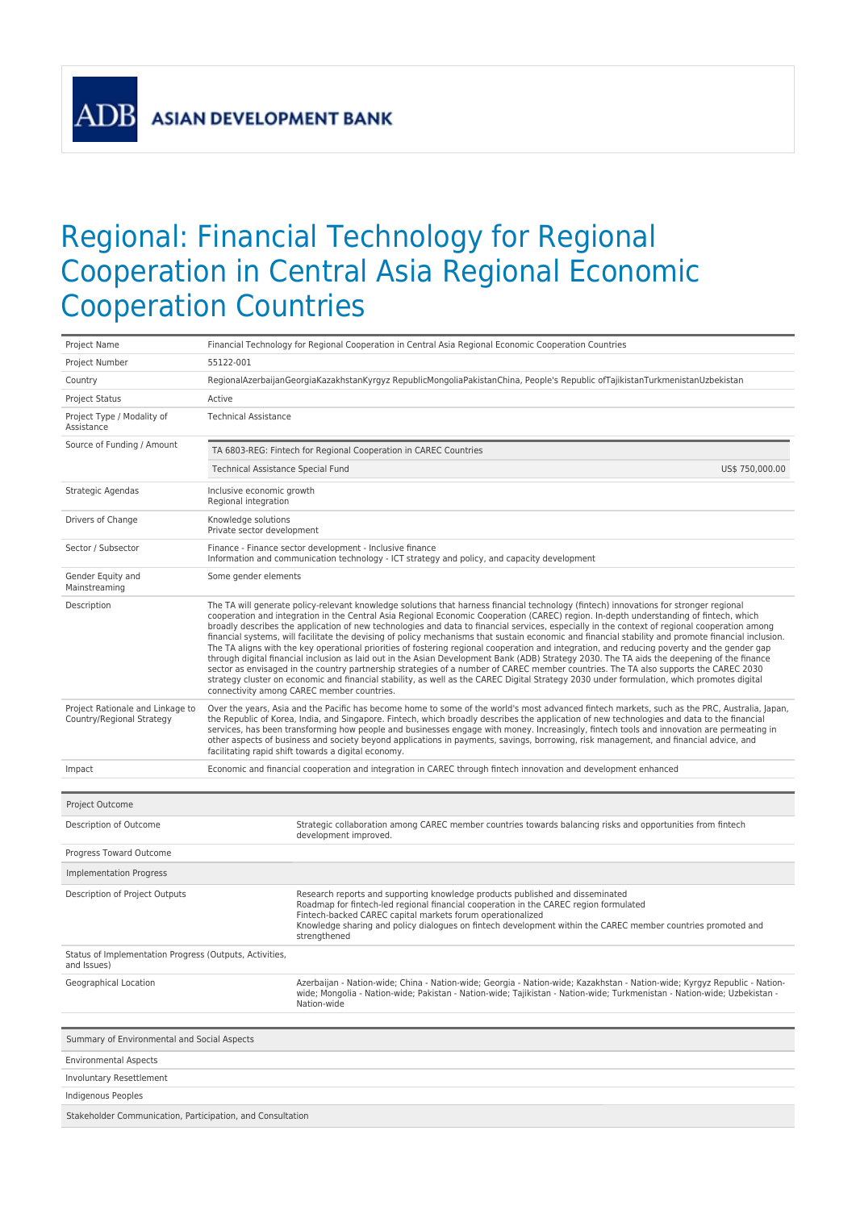**AD** 

## Regional: Financial Technology for Regional Cooperation in Central Asia Regional Economic Cooperation Countries

| Project Name                                                           | Financial Technology for Regional Cooperation in Central Asia Regional Economic Cooperation Countries                                                                                                                                                                                                                                                                                                                                                                                                                                                                                                                                                                                                                                                                                                                                                                                                                                                                                                                                                                                                                                                                                                                       |  |  |  |  |
|------------------------------------------------------------------------|-----------------------------------------------------------------------------------------------------------------------------------------------------------------------------------------------------------------------------------------------------------------------------------------------------------------------------------------------------------------------------------------------------------------------------------------------------------------------------------------------------------------------------------------------------------------------------------------------------------------------------------------------------------------------------------------------------------------------------------------------------------------------------------------------------------------------------------------------------------------------------------------------------------------------------------------------------------------------------------------------------------------------------------------------------------------------------------------------------------------------------------------------------------------------------------------------------------------------------|--|--|--|--|
| Project Number                                                         | 55122-001                                                                                                                                                                                                                                                                                                                                                                                                                                                                                                                                                                                                                                                                                                                                                                                                                                                                                                                                                                                                                                                                                                                                                                                                                   |  |  |  |  |
| Country                                                                | RegionalAzerbaijanGeorgiaKazakhstanKyrgyz RepublicMongoliaPakistanChina, People's Republic ofTajikistanTurkmenistanUzbekistan                                                                                                                                                                                                                                                                                                                                                                                                                                                                                                                                                                                                                                                                                                                                                                                                                                                                                                                                                                                                                                                                                               |  |  |  |  |
| <b>Project Status</b>                                                  | Active                                                                                                                                                                                                                                                                                                                                                                                                                                                                                                                                                                                                                                                                                                                                                                                                                                                                                                                                                                                                                                                                                                                                                                                                                      |  |  |  |  |
| Project Type / Modality of<br>Assistance                               | <b>Technical Assistance</b>                                                                                                                                                                                                                                                                                                                                                                                                                                                                                                                                                                                                                                                                                                                                                                                                                                                                                                                                                                                                                                                                                                                                                                                                 |  |  |  |  |
| Source of Funding / Amount                                             | TA 6803-REG: Fintech for Regional Cooperation in CAREC Countries                                                                                                                                                                                                                                                                                                                                                                                                                                                                                                                                                                                                                                                                                                                                                                                                                                                                                                                                                                                                                                                                                                                                                            |  |  |  |  |
|                                                                        | Technical Assistance Special Fund<br>US\$ 750,000.00                                                                                                                                                                                                                                                                                                                                                                                                                                                                                                                                                                                                                                                                                                                                                                                                                                                                                                                                                                                                                                                                                                                                                                        |  |  |  |  |
| Strategic Agendas                                                      | Inclusive economic growth<br>Regional integration                                                                                                                                                                                                                                                                                                                                                                                                                                                                                                                                                                                                                                                                                                                                                                                                                                                                                                                                                                                                                                                                                                                                                                           |  |  |  |  |
| Drivers of Change                                                      | Knowledge solutions<br>Private sector development                                                                                                                                                                                                                                                                                                                                                                                                                                                                                                                                                                                                                                                                                                                                                                                                                                                                                                                                                                                                                                                                                                                                                                           |  |  |  |  |
| Sector / Subsector                                                     | Finance - Finance sector development - Inclusive finance<br>Information and communication technology - ICT strategy and policy, and capacity development                                                                                                                                                                                                                                                                                                                                                                                                                                                                                                                                                                                                                                                                                                                                                                                                                                                                                                                                                                                                                                                                    |  |  |  |  |
| Gender Equity and<br>Mainstreaming                                     | Some gender elements                                                                                                                                                                                                                                                                                                                                                                                                                                                                                                                                                                                                                                                                                                                                                                                                                                                                                                                                                                                                                                                                                                                                                                                                        |  |  |  |  |
| Description                                                            | The TA will generate policy-relevant knowledge solutions that harness financial technology (fintech) innovations for stronger regional<br>cooperation and integration in the Central Asia Regional Economic Cooperation (CAREC) region. In-depth understanding of fintech, which<br>broadly describes the application of new technologies and data to financial services, especially in the context of regional cooperation among<br>financial systems, will facilitate the devising of policy mechanisms that sustain economic and financial stability and promote financial inclusion.<br>The TA aligns with the key operational priorities of fostering regional cooperation and integration, and reducing poverty and the gender gap<br>through digital financial inclusion as laid out in the Asian Development Bank (ADB) Strategy 2030. The TA aids the deepening of the finance<br>sector as envisaged in the country partnership strategies of a number of CAREC member countries. The TA also supports the CAREC 2030<br>strategy cluster on economic and financial stability, as well as the CAREC Digital Strategy 2030 under formulation, which promotes digital<br>connectivity among CAREC member countries. |  |  |  |  |
| Project Rationale and Linkage to<br>Country/Regional Strategy          | Over the years, Asia and the Pacific has become home to some of the world's most advanced fintech markets, such as the PRC, Australia, Japan,<br>the Republic of Korea, India, and Singapore. Fintech, which broadly describes the application of new technologies and data to the financial<br>services, has been transforming how people and businesses engage with money. Increasingly, fintech tools and innovation are permeating in<br>other aspects of business and society beyond applications in payments, savings, borrowing, risk management, and financial advice, and<br>facilitating rapid shift towards a digital economy.                                                                                                                                                                                                                                                                                                                                                                                                                                                                                                                                                                                   |  |  |  |  |
| Impact                                                                 | Economic and financial cooperation and integration in CAREC through fintech innovation and development enhanced                                                                                                                                                                                                                                                                                                                                                                                                                                                                                                                                                                                                                                                                                                                                                                                                                                                                                                                                                                                                                                                                                                             |  |  |  |  |
|                                                                        |                                                                                                                                                                                                                                                                                                                                                                                                                                                                                                                                                                                                                                                                                                                                                                                                                                                                                                                                                                                                                                                                                                                                                                                                                             |  |  |  |  |
| Project Outcome                                                        |                                                                                                                                                                                                                                                                                                                                                                                                                                                                                                                                                                                                                                                                                                                                                                                                                                                                                                                                                                                                                                                                                                                                                                                                                             |  |  |  |  |
| Description of Outcome                                                 | Strategic collaboration among CAREC member countries towards balancing risks and opportunities from fintech<br>development improved.                                                                                                                                                                                                                                                                                                                                                                                                                                                                                                                                                                                                                                                                                                                                                                                                                                                                                                                                                                                                                                                                                        |  |  |  |  |
| Progress Toward Outcome                                                |                                                                                                                                                                                                                                                                                                                                                                                                                                                                                                                                                                                                                                                                                                                                                                                                                                                                                                                                                                                                                                                                                                                                                                                                                             |  |  |  |  |
| Implementation Progress                                                |                                                                                                                                                                                                                                                                                                                                                                                                                                                                                                                                                                                                                                                                                                                                                                                                                                                                                                                                                                                                                                                                                                                                                                                                                             |  |  |  |  |
| Description of Project Outputs                                         | Research reports and supporting knowledge products published and disseminated<br>Roadmap for fintech-led regional financial cooperation in the CAREC region formulated<br>Fintech-backed CAREC capital markets forum operationalized<br>Knowledge sharing and policy dialogues on fintech development within the CAREC member countries promoted and<br>strengthened                                                                                                                                                                                                                                                                                                                                                                                                                                                                                                                                                                                                                                                                                                                                                                                                                                                        |  |  |  |  |
| Status of Implementation Progress (Outputs, Activities,<br>and Issues) |                                                                                                                                                                                                                                                                                                                                                                                                                                                                                                                                                                                                                                                                                                                                                                                                                                                                                                                                                                                                                                                                                                                                                                                                                             |  |  |  |  |
| Geographical Location                                                  | Azerbaijan - Nation-wide; China - Nation-wide; Georgia - Nation-wide; Kazakhstan - Nation-wide; Kyrgyz Republic - Nation-<br>wide; Mongolia - Nation-wide; Pakistan - Nation-wide; Tajikistan - Nation-wide; Turkmenistan - Nation-wide; Uzbekistan -<br>Nation-wide                                                                                                                                                                                                                                                                                                                                                                                                                                                                                                                                                                                                                                                                                                                                                                                                                                                                                                                                                        |  |  |  |  |
| Summary of Environmental and Social Aspects                            |                                                                                                                                                                                                                                                                                                                                                                                                                                                                                                                                                                                                                                                                                                                                                                                                                                                                                                                                                                                                                                                                                                                                                                                                                             |  |  |  |  |
| <b>Environmental Aspects</b>                                           |                                                                                                                                                                                                                                                                                                                                                                                                                                                                                                                                                                                                                                                                                                                                                                                                                                                                                                                                                                                                                                                                                                                                                                                                                             |  |  |  |  |
| Involuntary Resettlement                                               |                                                                                                                                                                                                                                                                                                                                                                                                                                                                                                                                                                                                                                                                                                                                                                                                                                                                                                                                                                                                                                                                                                                                                                                                                             |  |  |  |  |
| <b>Indigenous Peoples</b>                                              |                                                                                                                                                                                                                                                                                                                                                                                                                                                                                                                                                                                                                                                                                                                                                                                                                                                                                                                                                                                                                                                                                                                                                                                                                             |  |  |  |  |
| Stakeholder Communication, Participation, and Consultation             |                                                                                                                                                                                                                                                                                                                                                                                                                                                                                                                                                                                                                                                                                                                                                                                                                                                                                                                                                                                                                                                                                                                                                                                                                             |  |  |  |  |